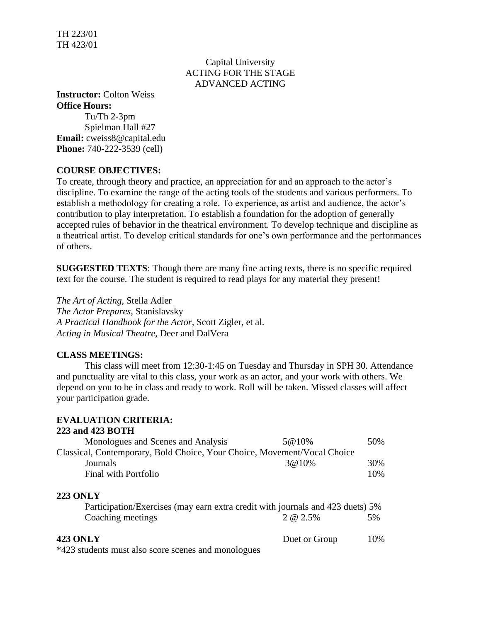### Capital University ACTING FOR THE STAGE ADVANCED ACTING

**Instructor:** Colton Weiss **Office Hours:** 

Tu/Th 2-3pm Spielman Hall #27 **Email:** cweiss8@capital.edu **Phone:** 740-222-3539 (cell)

#### **COURSE OBJECTIVES:**

To create, through theory and practice, an appreciation for and an approach to the actor's discipline. To examine the range of the acting tools of the students and various performers. To establish a methodology for creating a role. To experience, as artist and audience, the actor's contribution to play interpretation. To establish a foundation for the adoption of generally accepted rules of behavior in the theatrical environment. To develop technique and discipline as a theatrical artist. To develop critical standards for one's own performance and the performances of others.

**SUGGESTED TEXTS**: Though there are many fine acting texts, there is no specific required text for the course. The student is required to read plays for any material they present!

*The Art of Acting,* Stella Adler

*The Actor Prepares,* Stanislavsky *A Practical Handbook for the Actor,* Scott Zigler, et al. *Acting in Musical Theatre,* Deer and DalVera

#### **CLASS MEETINGS:**

This class will meet from 12:30-1:45 on Tuesday and Thursday in SPH 30. Attendance and punctuality are vital to this class, your work as an actor, and your work with others. We depend on you to be in class and ready to work. Roll will be taken. Missed classes will affect your participation grade.

## **EVALUATION CRITERIA:**

#### **223 and 423 BOTH**

| Monologues and Scenes and Analysis                                             | 5@10%            | 50% |
|--------------------------------------------------------------------------------|------------------|-----|
| Classical, Contemporary, Bold Choice, Your Choice, Movement/Vocal Choice       |                  |     |
| Journals                                                                       | 3@10%            | 30% |
| Final with Portfolio                                                           |                  | 10% |
| <b>223 ONLY</b>                                                                |                  |     |
| Participation/Exercises (may earn extra credit with journals and 423 duets) 5% |                  |     |
| Coaching meetings                                                              | $2 \omega 2.5\%$ | 5%  |
| <b>423 ONLY</b><br>$*423$ students must also score scenes and monologues       | Duet or Group    | 10% |

\*423 students must also score scenes and monologues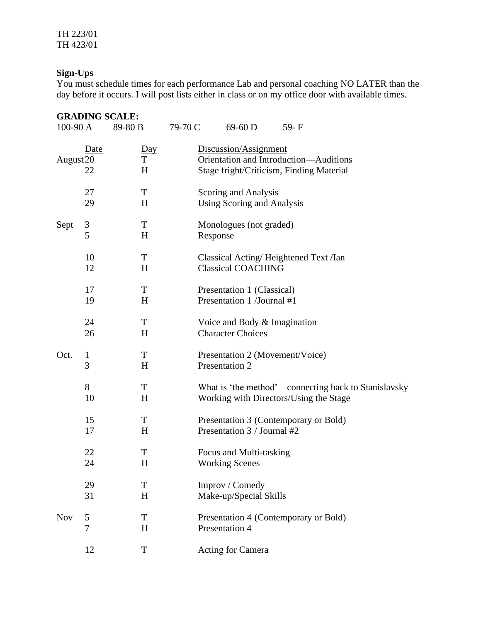## **Sign-Ups**

You must schedule times for each performance Lab and personal coaching NO LATER than the day before it occurs. I will post lists either in class or on my office door with available times.

| $100-90 A$ |                | <b>GRADING SCALE:</b><br>89-80 B | 79-70 C                                | 69-60 D                         | 59-F                                                   |
|------------|----------------|----------------------------------|----------------------------------------|---------------------------------|--------------------------------------------------------|
|            |                |                                  |                                        |                                 |                                                        |
|            | Date           | Day                              |                                        | Discussion/Assignment           |                                                        |
| August 20  |                | T                                | Orientation and Introduction-Auditions |                                 |                                                        |
|            | 22             | H                                |                                        |                                 | Stage fright/Criticism, Finding Material               |
|            | 27             | T                                |                                        | Scoring and Analysis            |                                                        |
|            | 29             | H                                |                                        | Using Scoring and Analysis      |                                                        |
| Sept       | $\mathfrak{Z}$ | T                                |                                        | Monologues (not graded)         |                                                        |
|            | 5              | H                                |                                        | Response                        |                                                        |
|            | 10             | T                                |                                        |                                 | Classical Acting/Heightened Text /Ian                  |
|            | 12             | H                                |                                        | <b>Classical COACHING</b>       |                                                        |
|            | 17             | $\mathbf T$                      |                                        | Presentation 1 (Classical)      |                                                        |
|            | 19             | H                                |                                        | Presentation 1 /Journal #1      |                                                        |
|            | 24             | T                                |                                        | Voice and Body & Imagination    |                                                        |
|            | 26             | H                                |                                        | <b>Character Choices</b>        |                                                        |
| Oct.       | $\mathbf{1}$   | T                                |                                        | Presentation 2 (Movement/Voice) |                                                        |
|            | 3              | H                                |                                        | Presentation 2                  |                                                        |
|            | 8              | T                                |                                        |                                 | What is 'the method' – connecting back to Stanislavsky |
|            | 10             | H                                |                                        |                                 | Working with Directors/Using the Stage                 |
|            | 15             | T                                |                                        |                                 | Presentation 3 (Contemporary or Bold)                  |
|            | 17             | H                                |                                        | Presentation 3 / Journal #2     |                                                        |
|            | 22             | T                                |                                        | Focus and Multi-tasking         |                                                        |
|            | 24             | H                                |                                        | <b>Working Scenes</b>           |                                                        |
|            |                |                                  |                                        |                                 |                                                        |
|            | 29             | T                                |                                        | Improv / Comedy                 |                                                        |
|            | 31             | H                                |                                        | Make-up/Special Skills          |                                                        |
| <b>Nov</b> | 5              | $\mathbf T$                      |                                        |                                 | Presentation 4 (Contemporary or Bold)                  |
|            | 7              | H                                |                                        | Presentation 4                  |                                                        |
|            | 12             | $\mathbf T$                      |                                        | Acting for Camera               |                                                        |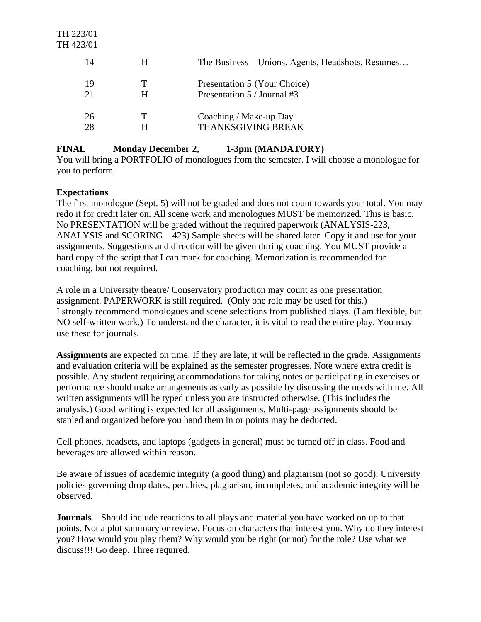| 14        | H | The Business – Unions, Agents, Headshots, Resumes           |
|-----------|---|-------------------------------------------------------------|
| 19<br>21  | H | Presentation 5 (Your Choice)<br>Presentation 5 / Journal #3 |
| -26<br>28 |   | Coaching / Make-up Day<br>THANKSGIVING BREAK                |

### **FINAL Monday December 2, 1-3pm (MANDATORY)**

You will bring a PORTFOLIO of monologues from the semester. I will choose a monologue for you to perform.

#### **Expectations**

The first monologue (Sept. 5) will not be graded and does not count towards your total. You may redo it for credit later on. All scene work and monologues MUST be memorized. This is basic. No PRESENTATION will be graded without the required paperwork (ANALYSIS-223, ANALYSIS and SCORING—423) Sample sheets will be shared later. Copy it and use for your assignments. Suggestions and direction will be given during coaching. You MUST provide a hard copy of the script that I can mark for coaching. Memorization is recommended for coaching, but not required.

A role in a University theatre/ Conservatory production may count as one presentation assignment. PAPERWORK is still required. (Only one role may be used for this.) I strongly recommend monologues and scene selections from published plays. (I am flexible, but NO self-written work.) To understand the character, it is vital to read the entire play. You may use these for journals.

**Assignments** are expected on time. If they are late, it will be reflected in the grade. Assignments and evaluation criteria will be explained as the semester progresses. Note where extra credit is possible. Any student requiring accommodations for taking notes or participating in exercises or performance should make arrangements as early as possible by discussing the needs with me. All written assignments will be typed unless you are instructed otherwise. (This includes the analysis.) Good writing is expected for all assignments. Multi-page assignments should be stapled and organized before you hand them in or points may be deducted.

Cell phones, headsets, and laptops (gadgets in general) must be turned off in class. Food and beverages are allowed within reason.

Be aware of issues of academic integrity (a good thing) and plagiarism (not so good). University policies governing drop dates, penalties, plagiarism, incompletes, and academic integrity will be observed.

**Journals** – Should include reactions to all plays and material you have worked on up to that points. Not a plot summary or review. Focus on characters that interest you. Why do they interest you? How would you play them? Why would you be right (or not) for the role? Use what we discuss!!! Go deep. Three required.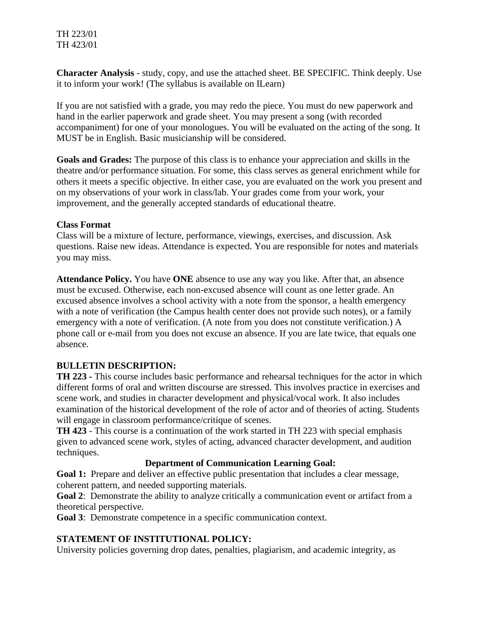**Character Analysis** - study, copy, and use the attached sheet. BE SPECIFIC. Think deeply. Use it to inform your work! (The syllabus is available on ILearn)

If you are not satisfied with a grade, you may redo the piece. You must do new paperwork and hand in the earlier paperwork and grade sheet. You may present a song (with recorded accompaniment) for one of your monologues. You will be evaluated on the acting of the song. It MUST be in English. Basic musicianship will be considered.

**Goals and Grades:** The purpose of this class is to enhance your appreciation and skills in the theatre and/or performance situation. For some, this class serves as general enrichment while for others it meets a specific objective. In either case, you are evaluated on the work you present and on my observations of your work in class/lab. Your grades come from your work, your improvement, and the generally accepted standards of educational theatre.

#### **Class Format**

Class will be a mixture of lecture, performance, viewings, exercises, and discussion. Ask questions. Raise new ideas. Attendance is expected. You are responsible for notes and materials you may miss.

**Attendance Policy.** You have **ONE** absence to use any way you like. After that, an absence must be excused. Otherwise, each non-excused absence will count as one letter grade. An excused absence involves a school activity with a note from the sponsor, a health emergency with a note of verification (the Campus health center does not provide such notes), or a family emergency with a note of verification. (A note from you does not constitute verification.) A phone call or e-mail from you does not excuse an absence. If you are late twice, that equals one absence.

### **BULLETIN DESCRIPTION:**

**TH 223 -** This course includes basic performance and rehearsal techniques for the actor in which different forms of oral and written discourse are stressed. This involves practice in exercises and scene work, and studies in character development and physical/vocal work. It also includes examination of the historical development of the role of actor and of theories of acting. Students will engage in classroom performance/critique of scenes.

**TH 423** - This course is a continuation of the work started in TH 223 with special emphasis given to advanced scene work, styles of acting, advanced character development, and audition techniques.

### **Department of Communication Learning Goal:**

Goal 1: Prepare and deliver an effective public presentation that includes a clear message, coherent pattern, and needed supporting materials.

**Goal 2**: Demonstrate the ability to analyze critically a communication event or artifact from a theoretical perspective.

**Goal 3**: Demonstrate competence in a specific communication context.

## **STATEMENT OF INSTITUTIONAL POLICY:**

University policies governing drop dates, penalties, plagiarism, and academic integrity, as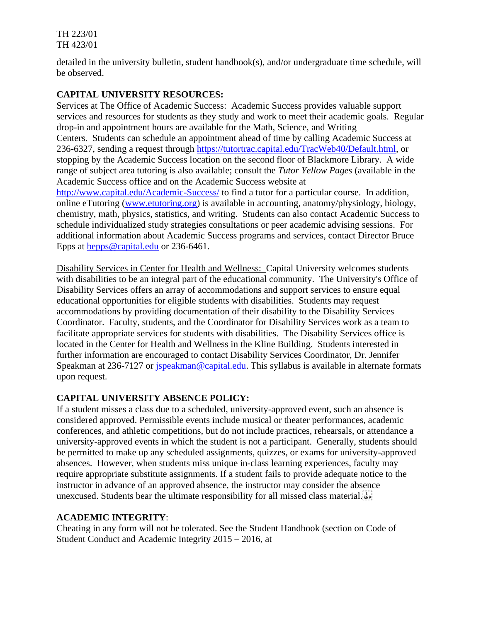detailed in the university bulletin, student handbook(s), and/or undergraduate time schedule, will be observed.

## **CAPITAL UNIVERSITY RESOURCES:**

Services at The Office of Academic Success: Academic Success provides valuable support services and resources for students as they study and work to meet their academic goals. Regular drop-in and appointment hours are available for the Math, Science, and Writing Centers. Students can schedule an appointment ahead of time by calling Academic Success at 236-6327, sending a request through [https://tutortrac.capital.edu/TracWeb40/Default.html,](https://tutortrac.capital.edu/TracWeb40/Default.html) or stopping by the Academic Success location on the second floor of Blackmore Library. A wide range of subject area tutoring is also available; consult the *Tutor Yellow Pages* (available in the Academic Success office and on the Academic Success website at <http://www.capital.edu/Academic-Success/> to find a tutor for a particular course. In addition, online eTutoring [\(www.etutoring.org\)](https://webmail.capital.edu/owa/redir.aspx?C=f8jKBRzYLk-9B3VcrTJLvFBM-z52ZtAIt_9wfwpK5QP6zL8DWBb8_Y23GZBf-y53LWK8niobNuE.&URL=http%3a%2f%2fwww.etutoring.org) is available in accounting, anatomy/physiology, biology, chemistry, math, physics, statistics, and writing. Students can also contact Academic Success to schedule individualized study strategies consultations or peer academic advising sessions. For additional information about Academic Success programs and services, contact Director Bruce Epps at [bepps@capital.edu](https://webmail.capital.edu/owa/redir.aspx?C=f8jKBRzYLk-9B3VcrTJLvFBM-z52ZtAIt_9wfwpK5QP6zL8DWBb8_Y23GZBf-y53LWK8niobNuE.&URL=mailto%3abepps%40capital.edu) or 236-6461.

Disability Services in Center for Health and Wellness: Capital University welcomes students with disabilities to be an integral part of the educational community. The University's Office of Disability Services offers an array of accommodations and support services to ensure equal educational opportunities for eligible students with disabilities. Students may request accommodations by providing documentation of their disability to the Disability Services Coordinator. Faculty, students, and the Coordinator for Disability Services work as a team to facilitate appropriate services for students with disabilities. The Disability Services office is located in the Center for Health and Wellness in the Kline Building. Students interested in further information are encouraged to contact Disability Services Coordinator, Dr. Jennifer Speakman at 236-7127 or [jspeakman@capital.edu.](mailto:jspeakman@capital.edu) This syllabus is available in alternate formats upon request.

## **CAPITAL UNIVERSITY ABSENCE POLICY:**

If a student misses a class due to a scheduled, university-approved event, such an absence is considered approved. Permissible events include musical or theater performances, academic conferences, and athletic competitions, but do not include practices, rehearsals, or attendance a university-approved events in which the student is not a participant. Generally, students should be permitted to make up any scheduled assignments, quizzes, or exams for university-approved absences. However, when students miss unique in-class learning experiences, faculty may require appropriate substitute assignments. If a student fails to provide adequate notice to the instructor in advance of an approved absence, the instructor may consider the absence unexcused. Students bear the ultimate responsibility for all missed class material.

### **ACADEMIC INTEGRITY**:

Cheating in any form will not be tolerated. See the Student Handbook (section on Code of Student Conduct and Academic Integrity 2015 – 2016, at